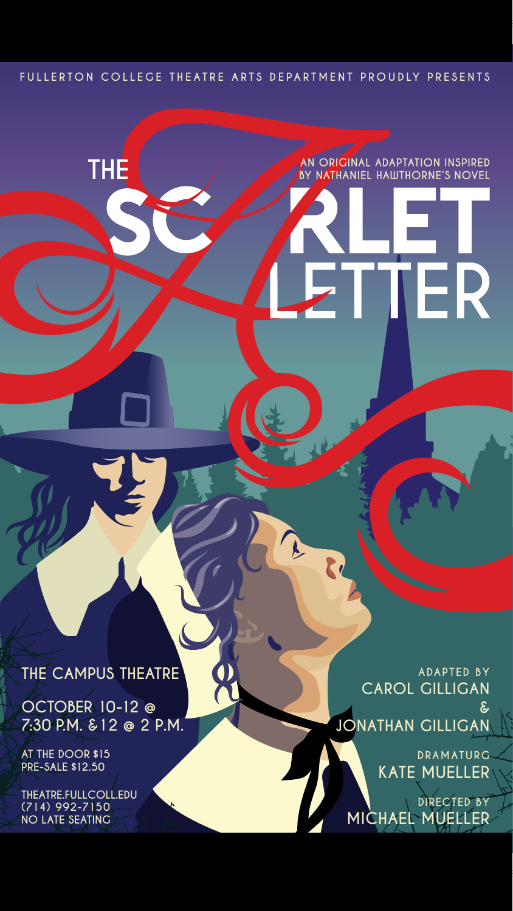#### FULLERTON COLLEGE THEATRE ARTS DEPARTMENT PROUDLY PRESENTS

# **THE AN ORIGINAL ADAPTATION INSPIRED BY NATHANIEL HAWTHORNE'S NOVEL**

 $\sum_{i=1}^{n}$ 

# **THE CAMPUS THEATRE OCTOBER 10-12 @ 7:30 P.M. &12 @ 2 P.M.**

**AT THE DOOR \$15 PRE-SALE \$12.50**

**THEATRE.FULLCOLL.EDU (714) 992-7150 NO LATE SEATING**

**ADAPTED BY CAROL GILLIGAN & JONATHAN GILLIGAN**

#### **DRAMATURG KATE MUELLER**

**DIRECTED BY MICHAEL MUELLER**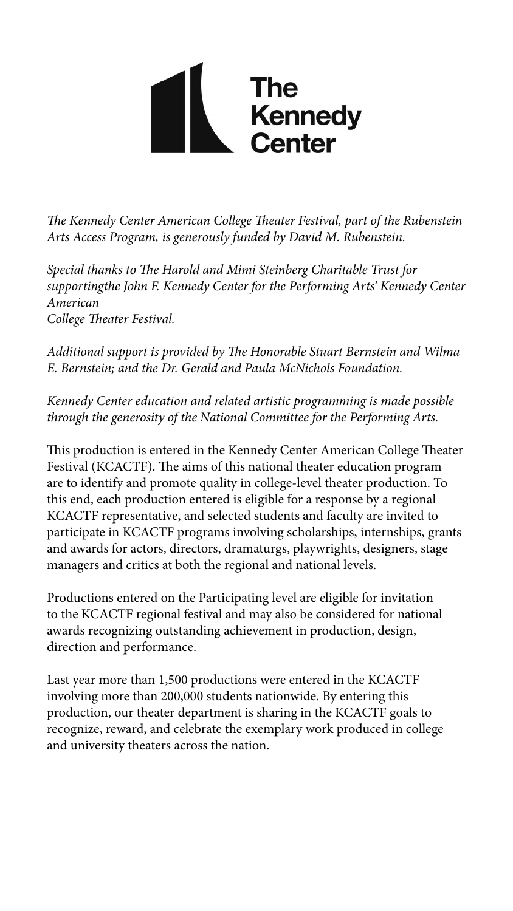

*The Kennedy Center American College Theater Festival, part of the Rubenstein Arts Access Program, is generously funded by David M. Rubenstein.*

*Special thanks to The Harold and Mimi Steinberg Charitable Trust for supportingthe John F. Kennedy Center for the Performing Arts' Kennedy Center American College Theater Festival.*

*Additional support is provided by The Honorable Stuart Bernstein and Wilma E. Bernstein; and the Dr. Gerald and Paula McNichols Foundation.*

*Kennedy Center education and related artistic programming is made possible through the generosity of the National Committee for the Performing Arts.*

This production is entered in the Kennedy Center American College Theater Festival (KCACTF). The aims of this national theater education program are to identify and promote quality in college-level theater production. To this end, each production entered is eligible for a response by a regional KCACTF representative, and selected students and faculty are invited to participate in KCACTF programs involving scholarships, internships, grants and awards for actors, directors, dramaturgs, playwrights, designers, stage managers and critics at both the regional and national levels.

Productions entered on the Participating level are eligible for invitation to the KCACTF regional festival and may also be considered for national awards recognizing outstanding achievement in production, design, direction and performance.

Last year more than 1,500 productions were entered in the KCACTF involving more than 200,000 students nationwide. By entering this production, our theater department is sharing in the KCACTF goals to recognize, reward, and celebrate the exemplary work produced in college and university theaters across the nation.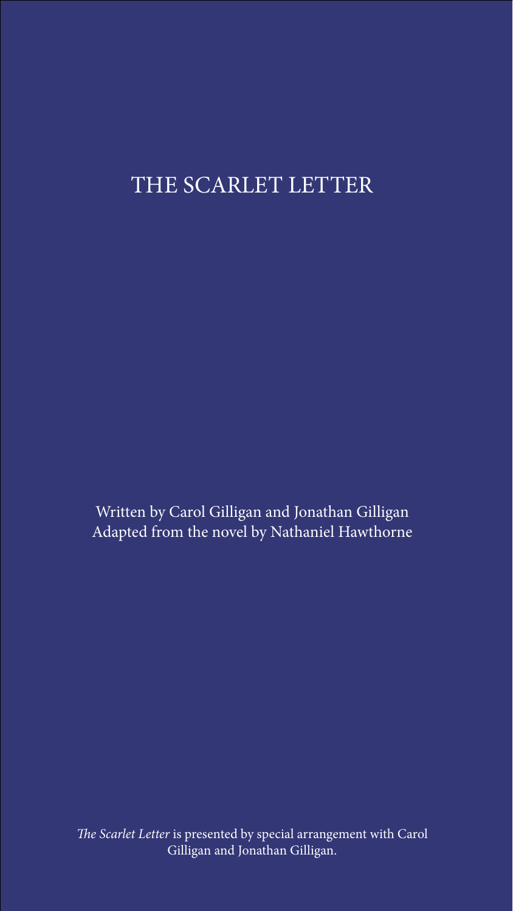# THE SCARLET LETTER

Written by Carol Gilligan and Jonathan Gilligan Adapted from the novel by Nathaniel Hawthorne

*The Scarlet Letter* is presented by special arrangement with Carol Gilligan and Jonathan Gilligan.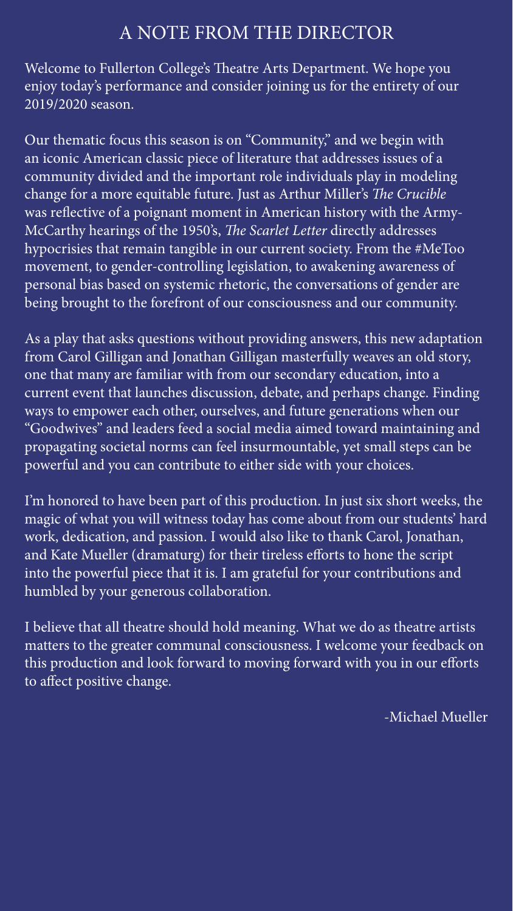# A NOTE FROM THE DIRECTOR

Welcome to Fullerton College's Theatre Arts Department. We hope you enjoy today's performance and consider joining us for the entirety of our 2019/2020 season.

Our thematic focus this season is on "Community," and we begin with an iconic American classic piece of literature that addresses issues of a community divided and the important role individuals play in modeling change for a more equitable future. Just as Arthur Miller's *The Crucible*  was reflective of a poignant moment in American history with the Army-McCarthy hearings of the 1950's, *The Scarlet Letter* directly addresses hypocrisies that remain tangible in our current society. From the #MeToo movement, to gender-controlling legislation, to awakening awareness of personal bias based on systemic rhetoric, the conversations of gender are being brought to the forefront of our consciousness and our community.

I'm honored to have been part of this production. In just six short weeks, the magic of what you will witness today has come about from our students' hard work, dedication, and passion. I would also like to thank Carol, Jonathan, and Kate Mueller (dramaturg) for their tireless efforts to hone the script into the powerful piece that it is. I am grateful for your contributions and humbled by your generous collaboration.

As a play that asks questions without providing answers, this new adaptation from Carol Gilligan and Jonathan Gilligan masterfully weaves an old story, one that many are familiar with from our secondary education, into a current event that launches discussion, debate, and perhaps change. Finding ways to empower each other, ourselves, and future generations when our "Goodwives" and leaders feed a social media aimed toward maintaining and propagating societal norms can feel insurmountable, yet small steps can be powerful and you can contribute to either side with your choices.

I believe that all theatre should hold meaning. What we do as theatre artists matters to the greater communal consciousness. I welcome your feedback on this production and look forward to moving forward with you in our efforts to affect positive change.

-Michael Mueller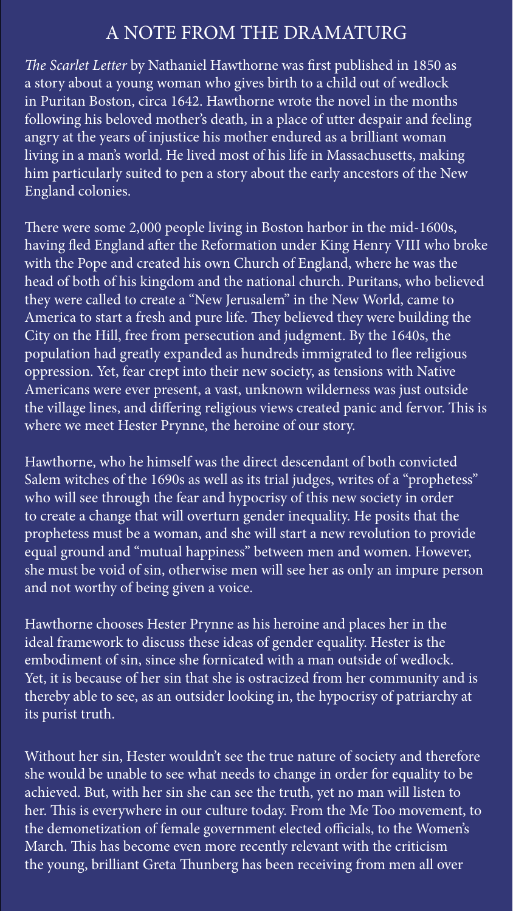# A NOTE FROM THE DRAMATURG

*The Scarlet Letter* by Nathaniel Hawthorne was first published in 1850 as a story about a young woman who gives birth to a child out of wedlock in Puritan Boston, circa 1642. Hawthorne wrote the novel in the months following his beloved mother's death, in a place of utter despair and feeling angry at the years of injustice his mother endured as a brilliant woman living in a man's world. He lived most of his life in Massachusetts, making him particularly suited to pen a story about the early ancestors of the New England colonies.

There were some 2,000 people living in Boston harbor in the mid-1600s, having fled England after the Reformation under King Henry VIII who broke with the Pope and created his own Church of England, where he was the head of both of his kingdom and the national church. Puritans, who believed they were called to create a "New Jerusalem" in the New World, came to America to start a fresh and pure life. They believed they were building the City on the Hill, free from persecution and judgment. By the 1640s, the population had greatly expanded as hundreds immigrated to flee religious oppression. Yet, fear crept into their new society, as tensions with Native Americans were ever present, a vast, unknown wilderness was just outside the village lines, and differing religious views created panic and fervor. This is where we meet Hester Prynne, the heroine of our story.

Hawthorne, who he himself was the direct descendant of both convicted Salem witches of the 1690s as well as its trial judges, writes of a "prophetess" who will see through the fear and hypocrisy of this new society in order to create a change that will overturn gender inequality. He posits that the prophetess must be a woman, and she will start a new revolution to provide equal ground and "mutual happiness" between men and women. However, she must be void of sin, otherwise men will see her as only an impure person and not worthy of being given a voice.

Hawthorne chooses Hester Prynne as his heroine and places her in the ideal framework to discuss these ideas of gender equality. Hester is the embodiment of sin, since she fornicated with a man outside of wedlock. Yet, it is because of her sin that she is ostracized from her community and is thereby able to see, as an outsider looking in, the hypocrisy of patriarchy at its purist truth.

Without her sin, Hester wouldn't see the true nature of society and therefore she would be unable to see what needs to change in order for equality to be achieved. But, with her sin she can see the truth, yet no man will listen to her. This is everywhere in our culture today. From the Me Too movement, to the demonetization of female government elected officials, to the Women's March. This has become even more recently relevant with the criticism the young, brilliant Greta Thunberg has been receiving from men all over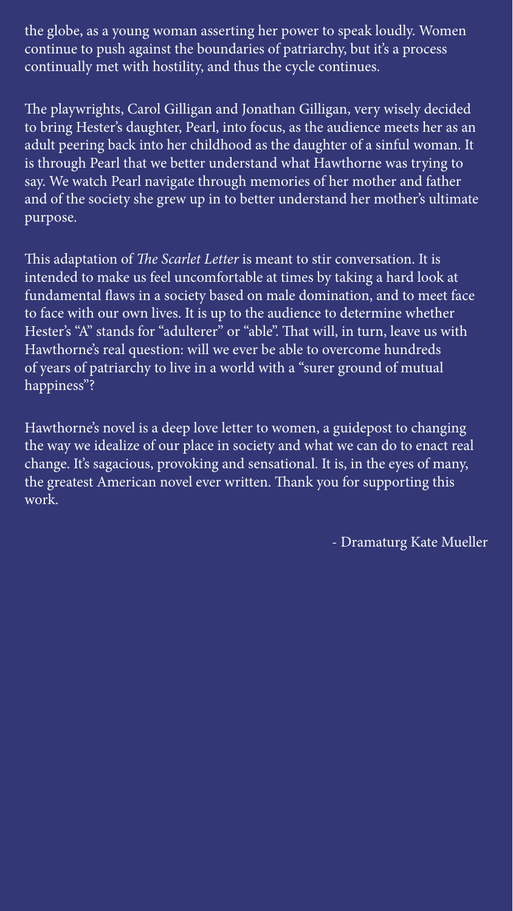the globe, as a young woman asserting her power to speak loudly. Women continue to push against the boundaries of patriarchy, but it's a process continually met with hostility, and thus the cycle continues.

The playwrights, Carol Gilligan and Jonathan Gilligan, very wisely decided to bring Hester's daughter, Pearl, into focus, as the audience meets her as an adult peering back into her childhood as the daughter of a sinful woman. It is through Pearl that we better understand what Hawthorne was trying to say. We watch Pearl navigate through memories of her mother and father and of the society she grew up in to better understand her mother's ultimate purpose.

This adaptation of *The Scarlet Letter* is meant to stir conversation. It is intended to make us feel uncomfortable at times by taking a hard look at fundamental flaws in a society based on male domination, and to meet face to face with our own lives. It is up to the audience to determine whether Hester's "A" stands for "adulterer" or "able". That will, in turn, leave us with Hawthorne's real question: will we ever be able to overcome hundreds of years of patriarchy to live in a world with a "surer ground of mutual happiness"?

Hawthorne's novel is a deep love letter to women, a guidepost to changing the way we idealize of our place in society and what we can do to enact real change. It's sagacious, provoking and sensational. It is, in the eyes of many, the greatest American novel ever written. Thank you for supporting this work.

- Dramaturg Kate Mueller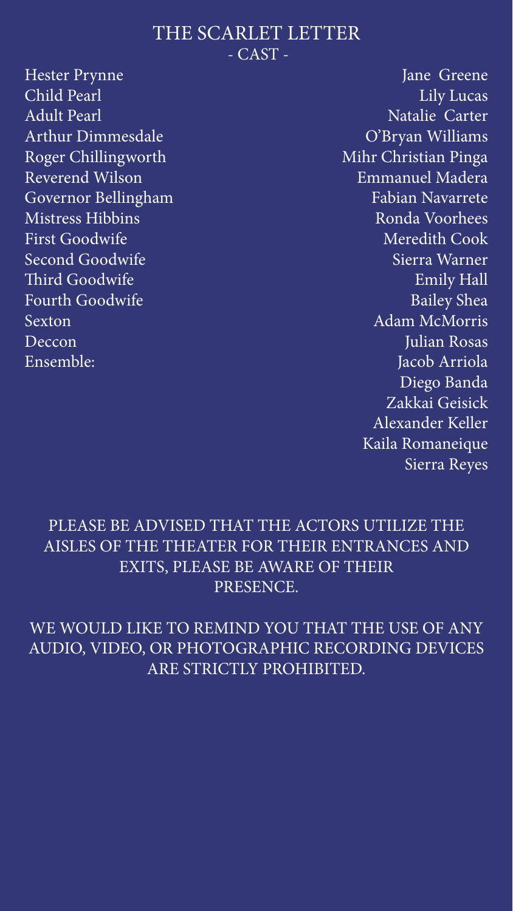#### THE SCARLET LETTER - CAST -

Hester Prynne Jane Greene Child Pearl Lily Lucas Adult Pearl Natalie Carter Arthur Dimmesdale **O'Bryan Williams** Roger Chillingworth Mihr Christian Pinga Reverend Wilson **Emmanuel Madera** Governor Bellingham Fabian Navarrete Mistress Hibbins **Mistress Hibbins Ronda Voorhees** First Goodwife **Meredith Cook** Second Goodwife Second Sierra Warner Third Goodwife **Emily Hall** Fourth Goodwife Bailey Shea Sexton Adam McMorris Adam McMorris Deccon Julian Rosas Ensemble: Jacob Arriola

Diego Banda Zakkai Geisick Alexander Keller Kaila Romaneique Sierra Reyes

PLEASE BE ADVISED THAT THE ACTORS UTILIZE THE AISLES OF THE THEATER FOR THEIR ENTRANCES AND EXITS, PLEASE BE AWARE OF THEIR PRESENCE.

WE WOULD LIKE TO REMIND YOU THAT THE USE OF ANY AUDIO, VIDEO, OR PHOTOGRAPHIC RECORDING DEVICES ARE STRICTLY PROHIBITED.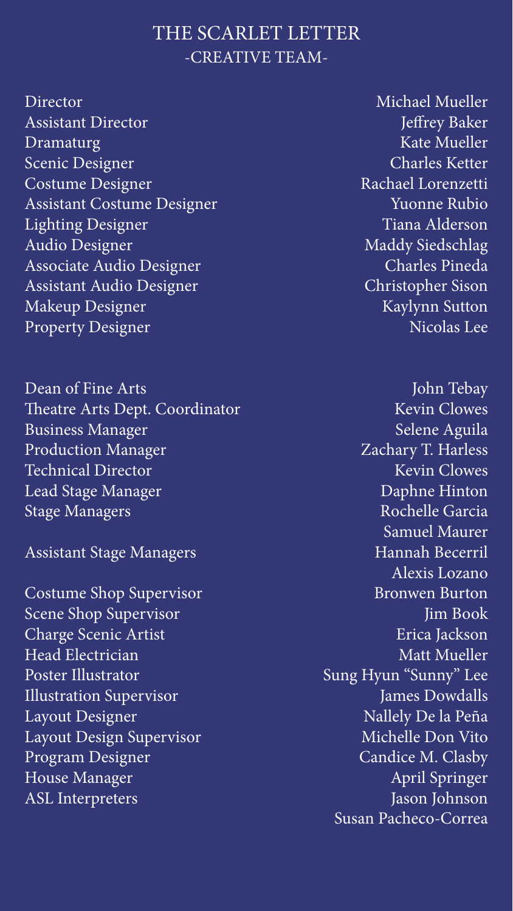# THE SCARLET LETTER -CREATIVE TEAM-

Director Michael Mueller Assistant Director **Jeffrey Baker** Dramaturg Kate Mueller Scenic Designer Charles Ketter Costume Designer Rachael Lorenzetti Assistant Costume Designer Vuonne Rubio Lighting Designer Tiana Alderson Audio Designer Maddy Siedschlag Associate Audio Designer Charles Pineda Assistant Audio Designer Christopher Sison Makeup Designer Kaylynn Sutton Property Designer Nicolas Lee

Dean of Fine Arts John Tebay Theatre Arts Dept. Coordinator Kevin Clowes Business Manager Selene Aguila Production Manager Zachary T. Harless Technical Director **Kevin Clowes** Lead Stage Manager Daphne Hinton Stage Managers Rochelle Garcia

Costume Shop Supervisor Bronwen Burton Scene Shop Supervisor Jim Book Charge Scenic Artist **Executed Executes** Erica Jackson Head Electrician Matt Mueller Poster Illustrator Sung Hyun "Sunny" Lee Illustration Supervisor James Dowdalls Layout Designer Nallely De la Peña Layout Design Supervisor Michelle Don Vito Program Designer Candice M. Clasby House Manager **April Springer** April Springer ASL Interpreters Jason Johnson

 Samuel Maurer Assistant Stage Managers Hannah Becerril Alexis Lozano Susan Pacheco-Correa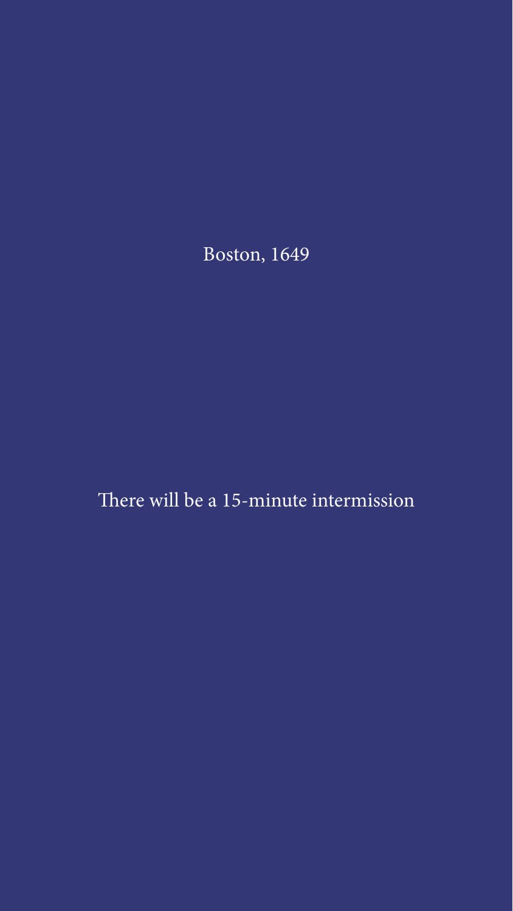Boston, 1649

There will be a 15-minute intermission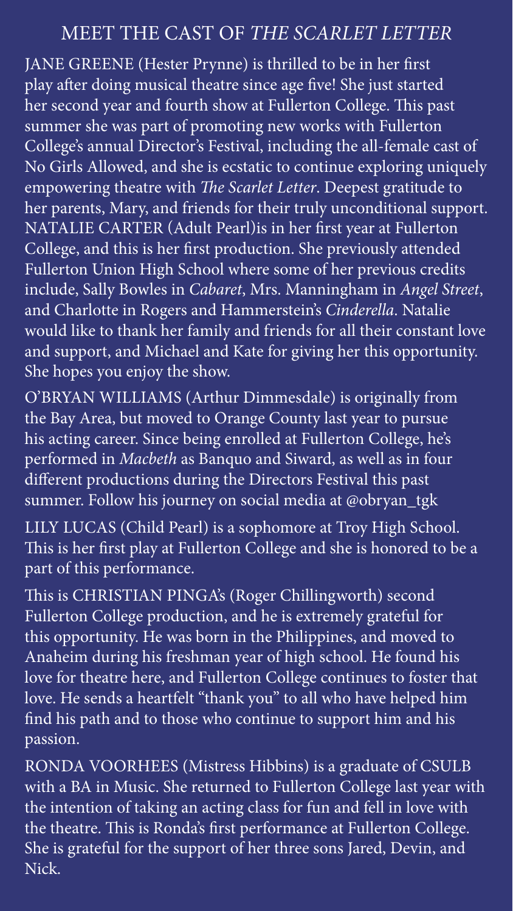# MEET THE CAST OF *THE SCARLET LETTER*

JANE GREENE (Hester Prynne) is thrilled to be in her first play after doing musical theatre since age five! She just started her second year and fourth show at Fullerton College. This past summer she was part of promoting new works with Fullerton College's annual Director's Festival, including the all-female cast of No Girls Allowed, and she is ecstatic to continue exploring uniquely empowering theatre with *The Scarlet Letter*. Deepest gratitude to her parents, Mary, and friends for their truly unconditional support. NATALIE CARTER (Adult Pearl)is in her first year at Fullerton College, and this is her first production. She previously attended Fullerton Union High School where some of her previous credits include, Sally Bowles in *Cabaret*, Mrs. Manningham in *Angel Street*, and Charlotte in Rogers and Hammerstein's *Cinderella*. Natalie would like to thank her family and friends for all their constant love and support, and Michael and Kate for giving her this opportunity. She hopes you enjoy the show.

O'BRYAN WILLIAMS (Arthur Dimmesdale) is originally from the Bay Area, but moved to Orange County last year to pursue his acting career. Since being enrolled at Fullerton College, he's performed in *Macbeth* as Banquo and Siward, as well as in four different productions during the Directors Festival this past summer. Follow his journey on social media at @obryan\_tgk

LILY LUCAS (Child Pearl) is a sophomore at Troy High School. This is her first play at Fullerton College and she is honored to be a part of this performance.

This is CHRISTIAN PINGA's (Roger Chillingworth) second Fullerton College production, and he is extremely grateful for this opportunity. He was born in the Philippines, and moved to Anaheim during his freshman year of high school. He found his love for theatre here, and Fullerton College continues to foster that love. He sends a heartfelt "thank you" to all who have helped him find his path and to those who continue to support him and his passion.

RONDA VOORHEES (Mistress Hibbins) is a graduate of CSULB with a BA in Music. She returned to Fullerton College last year with the intention of taking an acting class for fun and fell in love with the theatre. This is Ronda's first performance at Fullerton College. She is grateful for the support of her three sons Jared, Devin, and Nick.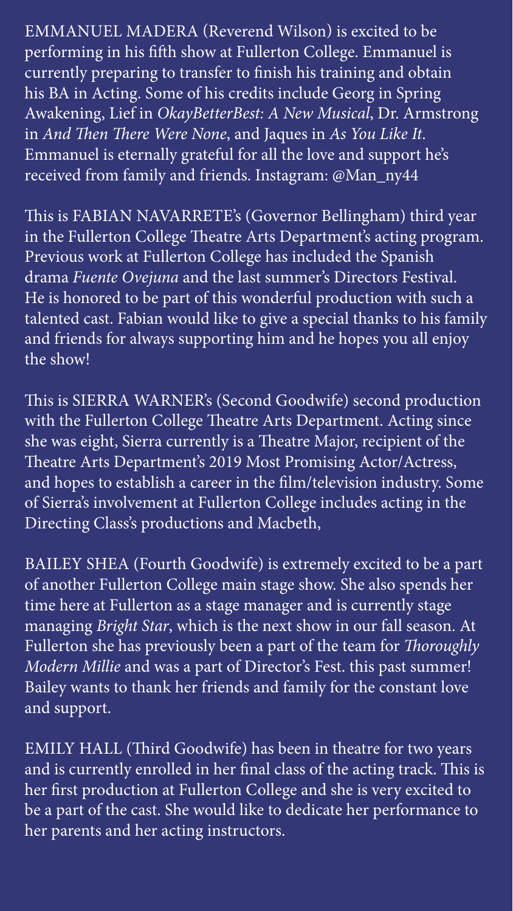EMMANUEL MADERA (Reverend Wilson) is excited to be performing in his fifth show at Fullerton College. Emmanuel is currently preparing to transfer to finish his training and obtain his BA in Acting. Some of his credits include Georg in Spring Awakening, Lief in *OkayBetterBest: A New Musical*, Dr. Armstrong in *And Then There Were None*, and Jaques in *As You Like It*. Emmanuel is eternally grateful for all the love and support he's received from family and friends. Instagram: @Man\_ny44

This is FABIAN NAVARRETE's (Governor Bellingham) third year in the Fullerton College Theatre Arts Department's acting program. Previous work at Fullerton College has included the Spanish drama *Fuente Ovejuna* and the last summer's Directors Festival. He is honored to be part of this wonderful production with such a talented cast. Fabian would like to give a special thanks to his family and friends for always supporting him and he hopes you all enjoy the show!

This is SIERRA WARNER's (Second Goodwife) second production with the Fullerton College Theatre Arts Department. Acting since she was eight, Sierra currently is a Theatre Major, recipient of the Theatre Arts Department's 2019 Most Promising Actor/Actress, and hopes to establish a career in the film/television industry. Some of Sierra's involvement at Fullerton College includes acting in the Directing Class's productions and Macbeth,

BAILEY SHEA (Fourth Goodwife) is extremely excited to be a part of another Fullerton College main stage show. She also spends her time here at Fullerton as a stage manager and is currently stage managing *Bright Star*, which is the next show in our fall season. At Fullerton she has previously been a part of the team for *Thoroughly Modern Millie* and was a part of Director's Fest. this past summer! Bailey wants to thank her friends and family for the constant love and support.

EMILY HALL (Third Goodwife) has been in theatre for two years and is currently enrolled in her final class of the acting track. This is her first production at Fullerton College and she is very excited to be a part of the cast. She would like to dedicate her performance to her parents and her acting instructors.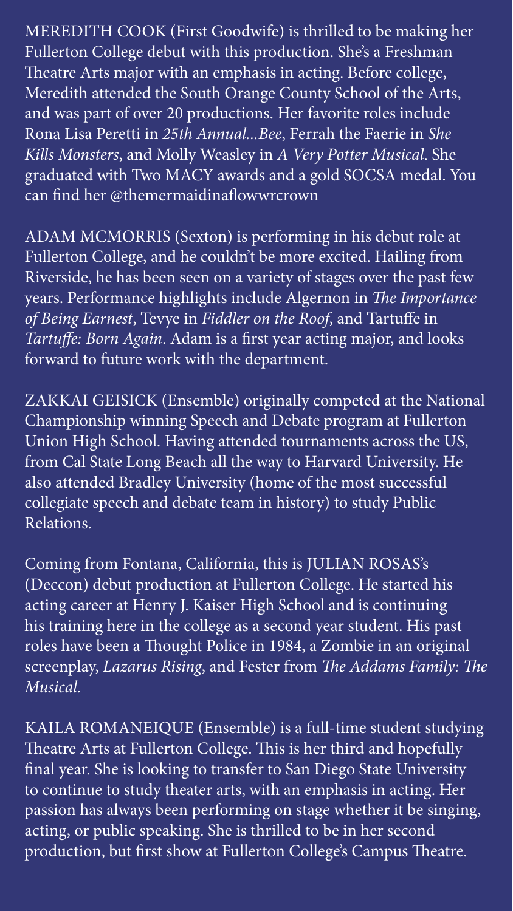MEREDITH COOK (First Goodwife) is thrilled to be making her Fullerton College debut with this production. She's a Freshman Theatre Arts major with an emphasis in acting. Before college, Meredith attended the South Orange County School of the Arts, and was part of over 20 productions. Her favorite roles include Rona Lisa Peretti in *25th Annual...Bee*, Ferrah the Faerie in *She Kills Monsters*, and Molly Weasley in *A Very Potter Musical*. She graduated with Two MACY awards and a gold SOCSA medal. You can find her @themermaidinaflowwrcrown

ADAM MCMORRIS (Sexton) is performing in his debut role at Fullerton College, and he couldn't be more excited. Hailing from Riverside, he has been seen on a variety of stages over the past few years. Performance highlights include Algernon in *The Importance of Being Earnest*, Tevye in *Fiddler on the Roof*, and Tartuffe in *Tartuffe: Born Again*. Adam is a first year acting major, and looks forward to future work with the department.

ZAKKAI GEISICK (Ensemble) originally competed at the National Championship winning Speech and Debate program at Fullerton Union High School. Having attended tournaments across the US, from Cal State Long Beach all the way to Harvard University. He also attended Bradley University (home of the most successful collegiate speech and debate team in history) to study Public Relations.

Coming from Fontana, California, this is JULIAN ROSAS's (Deccon) debut production at Fullerton College. He started his acting career at Henry J. Kaiser High School and is continuing his training here in the college as a second year student. His past roles have been a Thought Police in 1984, a Zombie in an original screenplay, *Lazarus Rising*, and Fester from *The Addams Family: The Musical.* 

KAILA ROMANEIQUE (Ensemble) is a full-time student studying Theatre Arts at Fullerton College. This is her third and hopefully final year. She is looking to transfer to San Diego State University to continue to study theater arts, with an emphasis in acting. Her passion has always been performing on stage whether it be singing, acting, or public speaking. She is thrilled to be in her second production, but first show at Fullerton College's Campus Theatre.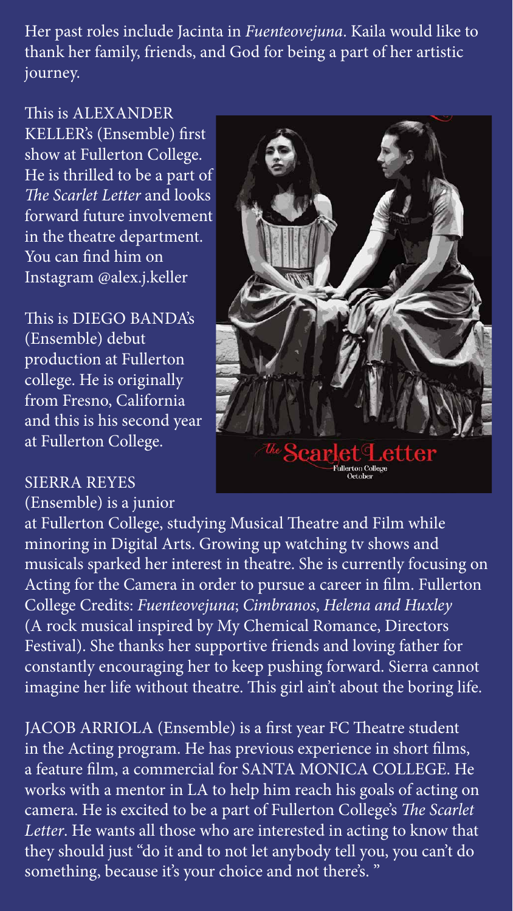Her past roles include Jacinta in *Fuenteovejuna*. Kaila would like to thank her family, friends, and God for being a part of her artistic journey.

This is ALEXANDER KELLER's (Ensemble) first show at Fullerton College. He is thrilled to be a part of *The Scarlet Letter* and looks forward future involvement in the theatre department. You can find him on Instagram @alex.j.keller

This is DIEGO BANDA's (Ensemble) debut production at Fullerton college. He is originally from Fresno, California and this is his second year at Fullerton College.

#### SIERRA REYES (Ensemble) is a junior



JACOB ARRIOLA (Ensemble) is a first year FC Theatre student in the Acting program. He has previous experience in short films, a feature film, a commercial for SANTA MONICA COLLEGE. He works with a mentor in LA to help him reach his goals of acting on camera. He is excited to be a part of Fullerton College's *The Scarlet Letter*. He wants all those who are interested in acting to know that they should just "do it and to not let anybody tell you, you can't do something, because it's your choice and not there's."

at Fullerton College, studying Musical Theatre and Film while minoring in Digital Arts. Growing up watching tv shows and musicals sparked her interest in theatre. She is currently focusing on Acting for the Camera in order to pursue a career in film. Fullerton College Credits: *Fuenteovejuna*; *Cimbranos*, *Helena and Huxley* (A rock musical inspired by My Chemical Romance, Directors Festival). She thanks her supportive friends and loving father for constantly encouraging her to keep pushing forward. Sierra cannot imagine her life without theatre. This girl ain't about the boring life.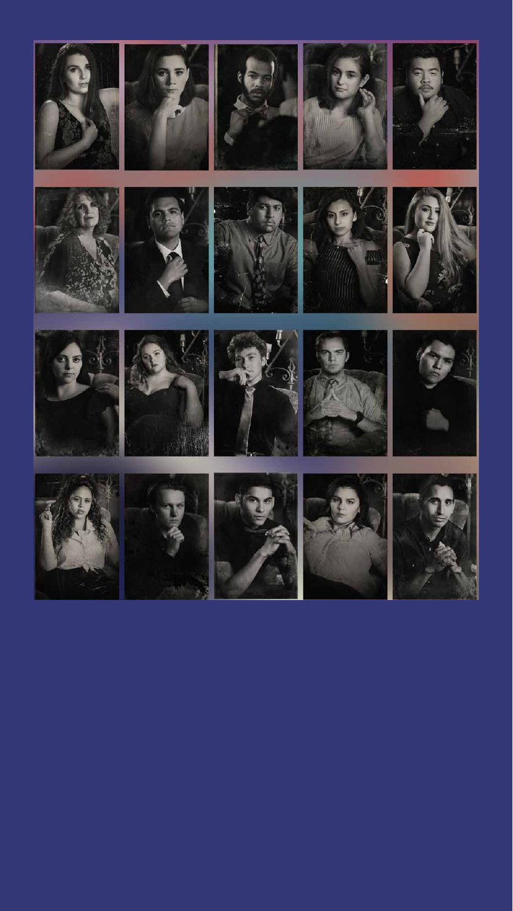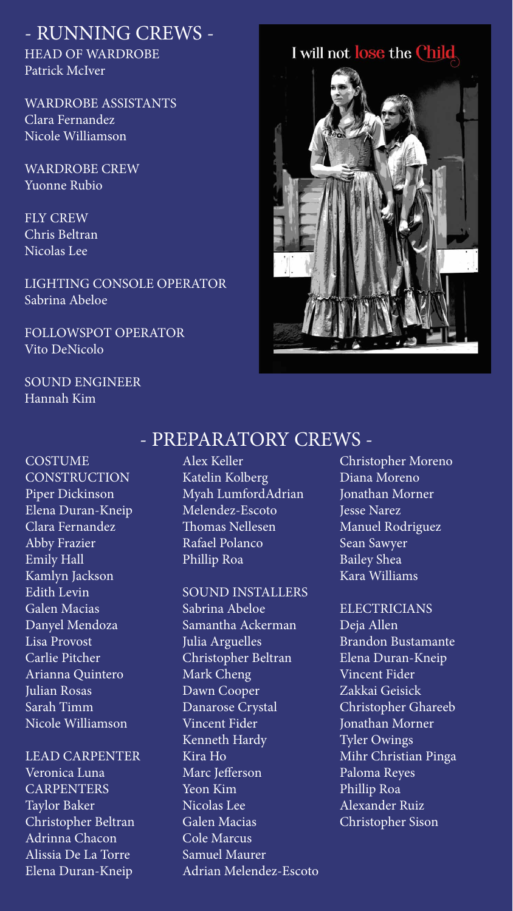- RUNNING CREWS - HEAD OF WARDROBE Patrick McIver

WARDROBE ASSISTANTS Clara Fernandez Nicole Williamson

WARDROBE CREW Yuonne Rubio

FLY CREW Chris Beltran Nicolas Lee

LIGHTING CONSOLE OPERATOR Sabrina Abeloe

FOLLOWSPOT OPERATOR Vito DeNicolo

**COSTUME CONSTRUCTION** Piper Dickinson Elena Duran-Kneip Clara Fernandez Abby Frazier Emily Hall Kamlyn Jackson Edith Levin Galen Macias Danyel Mendoza Lisa Provost Carlie Pitcher Arianna Quintero Julian Rosas Sarah Timm Nicole Williamson

SOUND ENGINEER Hannah Kim

# I will not lose the Child



LEAD CARPENTER Veronica Luna **CARPENTERS** Taylor Baker Christopher Beltran Adrinna Chacon Alissia De La Torre Elena Duran-Kneip

Alex Keller Katelin Kolberg Myah LumfordAdrian Melendez-Escoto Thomas Nellesen Rafael Polanco Phillip Roa

SOUND INSTALLERS Sabrina Abeloe

Samantha Ackerman Julia Arguelles Christopher Beltran Mark Cheng Dawn Cooper Danarose Crystal Vincent Fider Kenneth Hardy Kira Ho Marc Jefferson Yeon Kim Nicolas Lee Galen Macias Cole Marcus Samuel Maurer Adrian Melendez-Escoto

Christopher Moreno Diana Moreno Jonathan Morner Jesse Narez Manuel Rodriguez Sean Sawyer Bailey Shea Kara Williams

ELECTRICIANS

Deja Allen Brandon Bustamante Elena Duran-Kneip Vincent Fider Zakkai Geisick Christopher Ghareeb Jonathan Morner Tyler Owings Mihr Christian Pinga Paloma Reyes Phillip Roa Alexander Ruiz Christopher Sison

#### - PREPARATORY CREWS -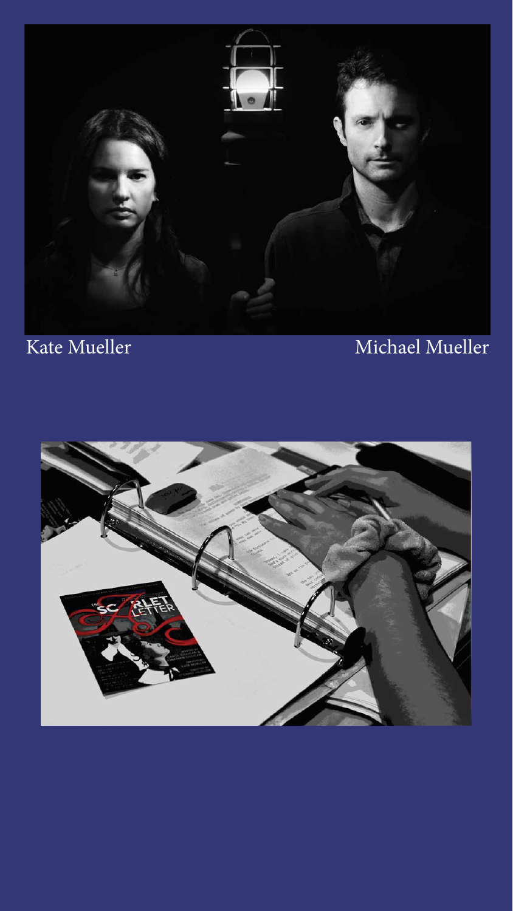

# Kate Mueller Michael Mueller

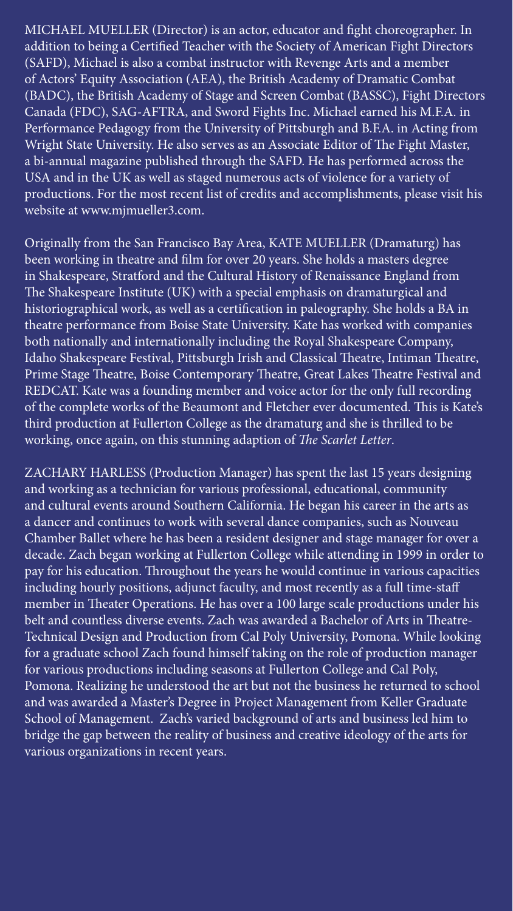MICHAEL MUELLER (Director) is an actor, educator and fight choreographer. In addition to being a Certified Teacher with the Society of American Fight Directors (SAFD), Michael is also a combat instructor with Revenge Arts and a member of Actors' Equity Association (AEA), the British Academy of Dramatic Combat (BADC), the British Academy of Stage and Screen Combat (BASSC), Fight Directors Canada (FDC), SAG-AFTRA, and Sword Fights Inc. Michael earned his M.F.A. in Performance Pedagogy from the University of Pittsburgh and B.F.A. in Acting from Wright State University. He also serves as an Associate Editor of The Fight Master, a bi-annual magazine published through the SAFD. He has performed across the USA and in the UK as well as staged numerous acts of violence for a variety of productions. For the most recent list of credits and accomplishments, please visit his website at www.mjmueller3.com.

Originally from the San Francisco Bay Area, KATE MUELLER (Dramaturg) has been working in theatre and film for over 20 years. She holds a masters degree in Shakespeare, Stratford and the Cultural History of Renaissance England from The Shakespeare Institute (UK) with a special emphasis on dramaturgical and historiographical work, as well as a certification in paleography. She holds a BA in theatre performance from Boise State University. Kate has worked with companies both nationally and internationally including the Royal Shakespeare Company, Idaho Shakespeare Festival, Pittsburgh Irish and Classical Theatre, Intiman Theatre, Prime Stage Theatre, Boise Contemporary Theatre, Great Lakes Theatre Festival and REDCAT. Kate was a founding member and voice actor for the only full recording of the complete works of the Beaumont and Fletcher ever documented. This is Kate's third production at Fullerton College as the dramaturg and she is thrilled to be working, once again, on this stunning adaption of *The Scarlet Letter*.

ZACHARY HARLESS (Production Manager) has spent the last 15 years designing and working as a technician for various professional, educational, community and cultural events around Southern California. He began his career in the arts as a dancer and continues to work with several dance companies, such as Nouveau Chamber Ballet where he has been a resident designer and stage manager for over a decade. Zach began working at Fullerton College while attending in 1999 in order to pay for his education. Throughout the years he would continue in various capacities including hourly positions, adjunct faculty, and most recently as a full time-staff member in Theater Operations. He has over a 100 large scale productions under his belt and countless diverse events. Zach was awarded a Bachelor of Arts in Theatre-Technical Design and Production from Cal Poly University, Pomona. While looking for a graduate school Zach found himself taking on the role of production manager for various productions including seasons at Fullerton College and Cal Poly, Pomona. Realizing he understood the art but not the business he returned to school and was awarded a Master's Degree in Project Management from Keller Graduate School of Management. Zach's varied background of arts and business led him to bridge the gap between the reality of business and creative ideology of the arts for various organizations in recent years.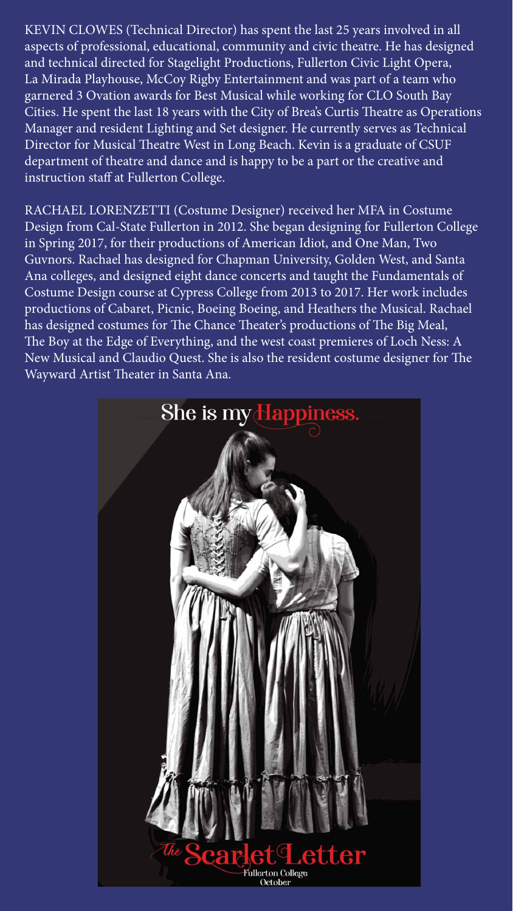KEVIN CLOWES (Technical Director) has spent the last 25 years involved in all aspects of professional, educational, community and civic theatre. He has designed and technical directed for Stagelight Productions, Fullerton Civic Light Opera, La Mirada Playhouse, McCoy Rigby Entertainment and was part of a team who garnered 3 Ovation awards for Best Musical while working for CLO South Bay Cities. He spent the last 18 years with the City of Brea's Curtis Theatre as Operations Manager and resident Lighting and Set designer. He currently serves as Technical Director for Musical Theatre West in Long Beach. Kevin is a graduate of CSUF department of theatre and dance and is happy to be a part or the creative and instruction staff at Fullerton College.

RACHAEL LORENZETTI (Costume Designer) received her MFA in Costume Design from Cal-State Fullerton in 2012. She began designing for Fullerton College in Spring 2017, for their productions of American Idiot, and One Man, Two Guvnors. Rachael has designed for Chapman University, Golden West, and Santa Ana colleges, and designed eight dance concerts and taught the Fundamentals of Costume Design course at Cypress College from 2013 to 2017. Her work includes productions of Cabaret, Picnic, Boeing Boeing, and Heathers the Musical. Rachael has designed costumes for The Chance Theater's productions of The Big Meal, The Boy at the Edge of Everything, and the west coast premieres of Loch Ness: A New Musical and Claudio Quest. She is also the resident costume designer for The Wayward Artist Theater in Santa Ana.



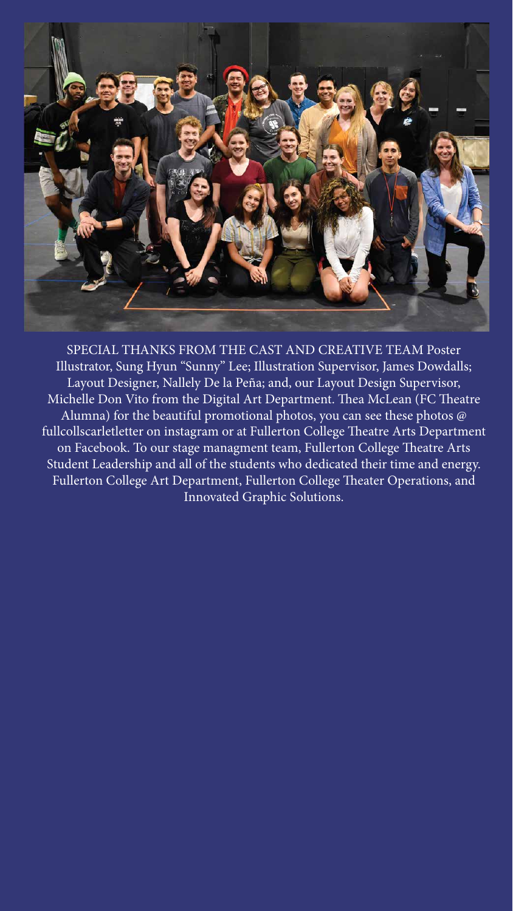

SPECIAL THANKS FROM THE CAST AND CREATIVE TEAM Poster Illustrator, Sung Hyun "Sunny" Lee; Illustration Supervisor, James Dowdalls; Layout Designer, Nallely De la Peña; and, our Layout Design Supervisor, Michelle Don Vito from the Digital Art Department. Thea McLean (FC Theatre Alumna) for the beautiful promotional photos, you can see these photos @ fullcollscarletletter on instagram or at Fullerton College Theatre Arts Department on Facebook. To our stage managment team, Fullerton College Theatre Arts Student Leadership and all of the students who dedicated their time and energy. Fullerton College Art Department, Fullerton College Theater Operations, and Innovated Graphic Solutions.